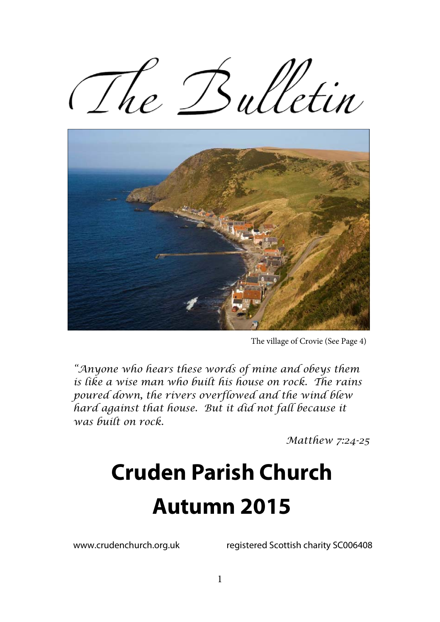The Bulletin



The village of Crovie (See Page 4)

*"Anyone who hears these words of mine and obeys them is like a wise man who built his house on rock. The rains poured down, the rivers overflowed and the wind blew hard against that house. But it did not fall because it was built on rock.* 

*Matthew 7:24-25* 

# **Cruden Parish Church Autumn 2015**

www.crudenchurch.org.uk registered Scottish charity SC006408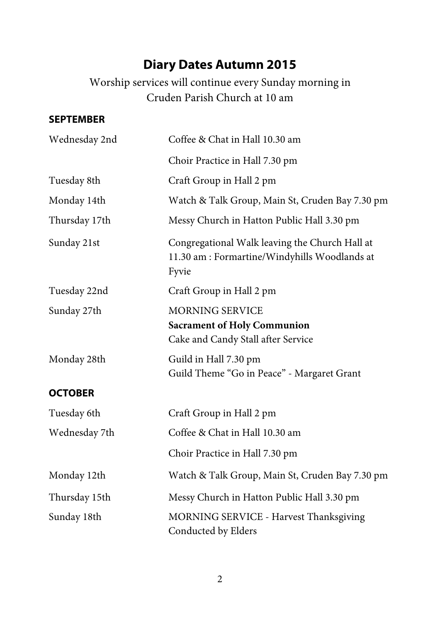# **Diary Dates Autumn 2015**

Worship services will continue every Sunday morning in Cruden Parish Church at 10 am

#### **SEPTEMBER**

| Wednesday 2nd  | Coffee & Chat in Hall 10.30 am                                                                           |  |
|----------------|----------------------------------------------------------------------------------------------------------|--|
|                | Choir Practice in Hall 7.30 pm                                                                           |  |
| Tuesday 8th    | Craft Group in Hall 2 pm                                                                                 |  |
| Monday 14th    | Watch & Talk Group, Main St, Cruden Bay 7.30 pm                                                          |  |
| Thursday 17th  | Messy Church in Hatton Public Hall 3.30 pm                                                               |  |
| Sunday 21st    | Congregational Walk leaving the Church Hall at<br>11.30 am : Formartine/Windyhills Woodlands at<br>Fyvie |  |
| Tuesday 22nd   | Craft Group in Hall 2 pm                                                                                 |  |
| Sunday 27th    | <b>MORNING SERVICE</b><br><b>Sacrament of Holy Communion</b><br>Cake and Candy Stall after Service       |  |
| Monday 28th    | Guild in Hall 7.30 pm<br>Guild Theme "Go in Peace" - Margaret Grant                                      |  |
| <b>OCTOBER</b> |                                                                                                          |  |
| Tuesday 6th    | Craft Group in Hall 2 pm                                                                                 |  |
| Wednesday 7th  | Coffee & Chat in Hall 10.30 am                                                                           |  |
|                | Choir Practice in Hall 7.30 pm                                                                           |  |
| Monday 12th    | Watch & Talk Group, Main St, Cruden Bay 7.30 pm                                                          |  |
| Thursday 15th  | Messy Church in Hatton Public Hall 3.30 pm                                                               |  |
| Sunday 18th    | MORNING SERVICE - Harvest Thanksgiving<br>Conducted by Elders                                            |  |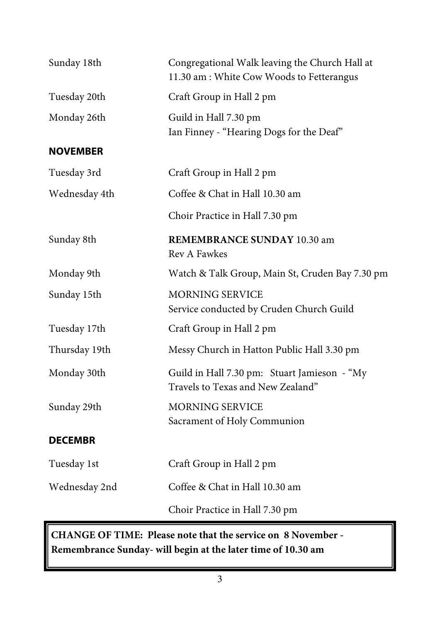| Sunday 18th     | Congregational Walk leaving the Church Hall at<br>11.30 am: White Cow Woods to Fetterangus |  |
|-----------------|--------------------------------------------------------------------------------------------|--|
| Tuesday 20th    | Craft Group in Hall 2 pm                                                                   |  |
| Monday 26th     | Guild in Hall 7.30 pm<br>Ian Finney - "Hearing Dogs for the Deaf"                          |  |
| <b>NOVEMBER</b> |                                                                                            |  |
| Tuesday 3rd     | Craft Group in Hall 2 pm                                                                   |  |
| Wednesday 4th   | Coffee & Chat in Hall 10.30 am                                                             |  |
|                 | Choir Practice in Hall 7.30 pm                                                             |  |
| Sunday 8th      | <b>REMEMBRANCE SUNDAY 10.30 am</b><br>Rev A Fawkes                                         |  |
| Monday 9th      | Watch & Talk Group, Main St, Cruden Bay 7.30 pm                                            |  |
| Sunday 15th     | <b>MORNING SERVICE</b><br>Service conducted by Cruden Church Guild                         |  |
| Tuesday 17th    | Craft Group in Hall 2 pm                                                                   |  |
| Thursday 19th   | Messy Church in Hatton Public Hall 3.30 pm                                                 |  |
| Monday 30th     | Guild in Hall 7.30 pm: Stuart Jamieson - "My<br>Travels to Texas and New Zealand"          |  |
| Sunday 29th     | <b>MORNING SERVICE</b><br>Sacrament of Holy Communion                                      |  |
| <b>DECEMBR</b>  |                                                                                            |  |
| Tuesday 1st     | Craft Group in Hall 2 pm                                                                   |  |
| Wednesday 2nd   | Coffee & Chat in Hall 10.30 am                                                             |  |
|                 | Choir Practice in Hall 7.30 pm                                                             |  |

**CHANGE OF TIME: Please note that the service on 8 November - Remembrance Sunday- will begin at the later time of 10.30 am**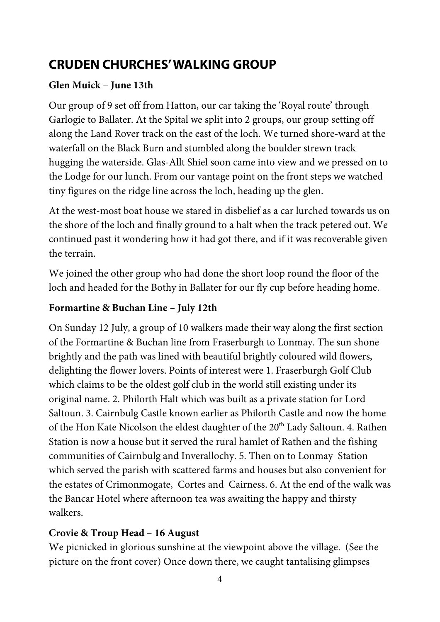## **CRUDEN CHURCHES' WALKING GROUP**

#### **Glen Muick** – **June 13th**

Our group of 9 set off from Hatton, our car taking the 'Royal route' through Garlogie to Ballater. At the Spital we split into 2 groups, our group setting off along the Land Rover track on the east of the loch. We turned shore-ward at the waterfall on the Black Burn and stumbled along the boulder strewn track hugging the waterside. Glas-Allt Shiel soon came into view and we pressed on to the Lodge for our lunch. From our vantage point on the front steps we watched tiny figures on the ridge line across the loch, heading up the glen.

At the west-most boat house we stared in disbelief as a car lurched towards us on the shore of the loch and finally ground to a halt when the track petered out. We continued past it wondering how it had got there, and if it was recoverable given the terrain.

We joined the other group who had done the short loop round the floor of the loch and headed for the Bothy in Ballater for our fly cup before heading home.

#### **Formartine & Buchan Line – July 12th**

On Sunday 12 July, a group of 10 walkers made their way along the first section of the Formartine & Buchan line from Fraserburgh to Lonmay. The sun shone brightly and the path was lined with beautiful brightly coloured wild flowers, delighting the flower lovers. Points of interest were 1. Fraserburgh Golf Club which claims to be the oldest golf club in the world still existing under its original name. 2. Philorth Halt which was built as a private station for Lord Saltoun. 3. Cairnbulg Castle known earlier as Philorth Castle and now the home of the Hon Kate Nicolson the eldest daughter of the 20<sup>th</sup> Lady Saltoun. 4. Rathen Station is now a house but it served the rural hamlet of Rathen and the fishing communities of Cairnbulg and Inverallochy. 5. Then on to Lonmay Station which served the parish with scattered farms and houses but also convenient for the estates of Crimonmogate, Cortes and Cairness. 6. At the end of the walk was the Bancar Hotel where afternoon tea was awaiting the happy and thirsty walkers.

#### **Crovie & Troup Head – 16 August**

We picnicked in glorious sunshine at the viewpoint above the village. (See the picture on the front cover) Once down there, we caught tantalising glimpses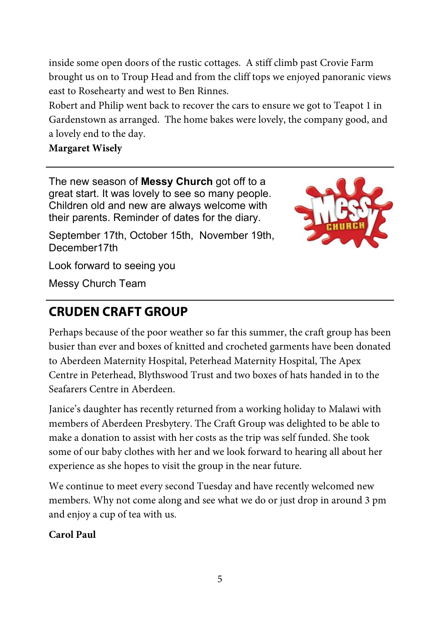inside some open doors of the rustic cottages. A stiff climb past Crovie Farm brought us on to Troup Head and from the cliff tops we enjoyed panoranic views east to Rosehearty and west to Ben Rinnes.

Robert and Philip went back to recover the cars to ensure we got to Teapot 1 in Gardenstown as arranged. The home bakes were lovely, the company good, and a lovely end to the day.

#### **Margaret Wisely**

The new season of **Messy Church** got off to a great start. It was lovely to see so many people. Children old and new are always welcome with their parents. Reminder of dates for the diary.



September 17th, October 15th, November 19th, December17th

Look forward to seeing you

Messy Church Team

## **CRUDEN CRAFT GROUP**

Perhaps because of the poor weather so far this summer, the craft group has been busier than ever and boxes of knitted and crocheted garments have been donated to Aberdeen Maternity Hospital, Peterhead Maternity Hospital, The Apex Centre in Peterhead, Blythswood Trust and two boxes of hats handed in to the Seafarers Centre in Aberdeen.

Janice's daughter has recently returned from a working holiday to Malawi with members of Aberdeen Presbytery. The Craft Group was delighted to be able to make a donation to assist with her costs as the trip was self funded. She took some of our baby clothes with her and we look forward to hearing all about her experience as she hopes to visit the group in the near future.

We continue to meet every second Tuesday and have recently welcomed new members. Why not come along and see what we do or just drop in around 3 pm and enjoy a cup of tea with us.

**Carol Paul**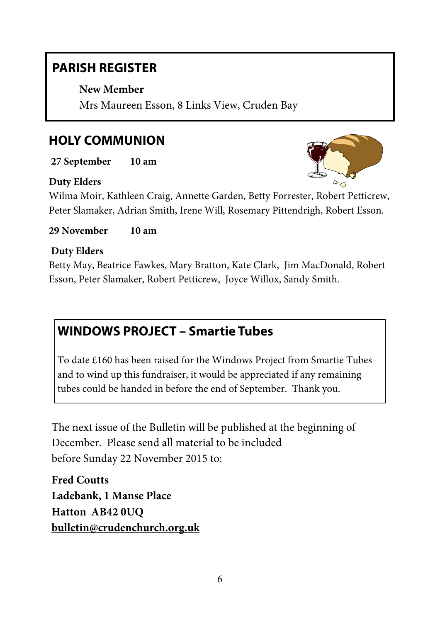## **PARISH REGISTER**

**New Member**

Mrs Maureen Esson, 8 Links View, Cruden Bay

## **HOLY COMMUNION**

**27 September 10 am** 

#### **Duty Elders**

Wilma Moir, Kathleen Craig, Annette Garden, Betty Forrester, Robert Petticrew, Peter Slamaker, Adrian Smith, Irene Will, Rosemary Pittendrigh, Robert Esson.

**29 November 10 am** 

#### **Duty Elders**

Betty May, Beatrice Fawkes, Mary Bratton, Kate Clark, Jim MacDonald, Robert Esson, Peter Slamaker, Robert Petticrew, Joyce Willox, Sandy Smith.

## **WINDOWS PROJECT – Smartie Tubes**

To date £160 has been raised for the Windows Project from Smartie Tubes and to wind up this fundraiser, it would be appreciated if any remaining tubes could be handed in before the end of September. Thank you.

The next issue of the Bulletin will be published at the beginning of December. Please send all material to be included before Sunday 22 November 2015 to:

**Fred Coutts Ladebank, 1 Manse Place Hatton AB42 0UQ bulletin@crudenchurch.org.uk**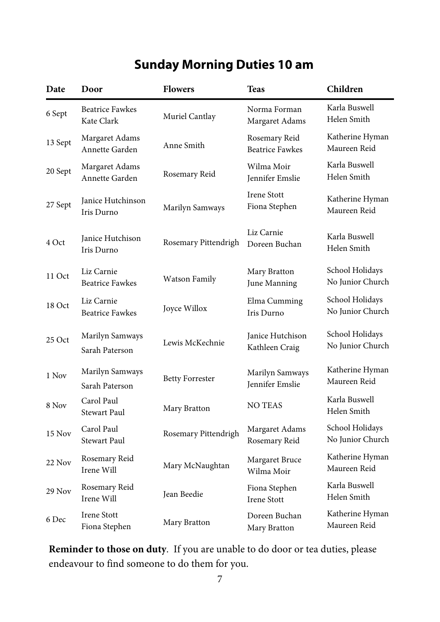# **Sunday Morning Duties 10 am**

| Date    | Door                                 | <b>Flowers</b>         | <b>Teas</b>                             | Children                            |
|---------|--------------------------------------|------------------------|-----------------------------------------|-------------------------------------|
| 6 Sept  | <b>Beatrice Fawkes</b><br>Kate Clark | Muriel Cantlay         | Norma Forman<br>Margaret Adams          | Karla Buswell<br>Helen Smith        |
| 13 Sept | Margaret Adams<br>Annette Garden     | Anne Smith             | Rosemary Reid<br><b>Beatrice Fawkes</b> | Katherine Hyman<br>Maureen Reid     |
| 20 Sept | Margaret Adams<br>Annette Garden     | Rosemary Reid          | Wilma Moir<br>Jennifer Emslie           | Karla Buswell<br>Helen Smith        |
| 27 Sept | Janice Hutchinson<br>Iris Durno      | Marilyn Samways        | Irene Stott<br>Fiona Stephen            | Katherine Hyman<br>Maureen Reid     |
| 4 Oct   | Janice Hutchison<br>Iris Durno       | Rosemary Pittendrigh   | Liz Carnie<br>Doreen Buchan             | Karla Buswell<br>Helen Smith        |
| 11 Oct  | Liz Carnie<br><b>Beatrice Fawkes</b> | Watson Family          | Mary Bratton<br>June Manning            | School Holidays<br>No Junior Church |
| 18 Oct  | Liz Carnie<br><b>Beatrice Fawkes</b> | Joyce Willox           | Elma Cumming<br>Iris Durno              | School Holidays<br>No Junior Church |
| 25 Oct  | Marilyn Samways<br>Sarah Paterson    | Lewis McKechnie        | Janice Hutchison<br>Kathleen Craig      | School Holidays<br>No Junior Church |
| 1 Nov   | Marilyn Samways<br>Sarah Paterson    | <b>Betty Forrester</b> | Marilyn Samways<br>Jennifer Emslie      | Katherine Hyman<br>Maureen Reid     |
| 8 Nov   | Carol Paul<br><b>Stewart Paul</b>    | Mary Bratton           | <b>NO TEAS</b>                          | Karla Buswell<br>Helen Smith        |
| 15 Nov  | Carol Paul<br><b>Stewart Paul</b>    | Rosemary Pittendrigh   | Margaret Adams<br>Rosemary Reid         | School Holidays<br>No Junior Church |
| 22 Nov  | Rosemary Reid<br>Irene Will          | Mary McNaughtan        | Margaret Bruce<br>Wilma Moir            | Katherine Hyman<br>Maureen Reid     |
| 29 Nov  | Rosemary Reid<br>Irene Will          | Jean Beedie            | Fiona Stephen<br><b>Irene Stott</b>     | Karla Buswell<br>Helen Smith        |
| 6 Dec   | Irene Stott<br>Fiona Stephen         | Mary Bratton           | Doreen Buchan<br>Mary Bratton           | Katherine Hyman<br>Maureen Reid     |

**Reminder to those on duty**. If you are unable to do door or tea duties, please endeavour to find someone to do them for you.